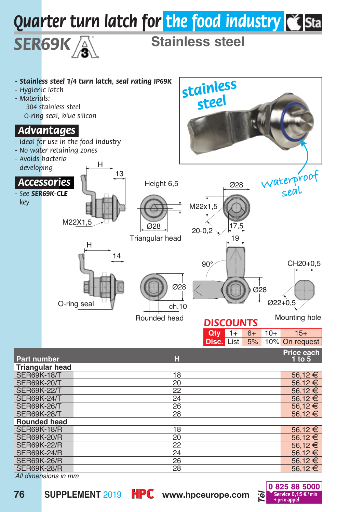

*All dimensions in mm*